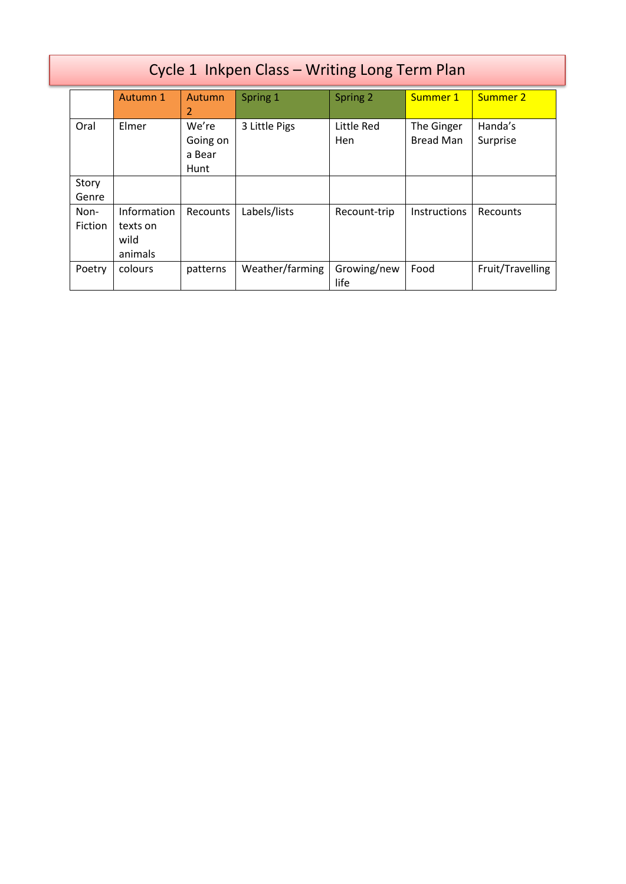|                 | Cycle 1 Inkpen Class - Writing Long Term Plan |                                     |                 |                     |                                |                     |  |
|-----------------|-----------------------------------------------|-------------------------------------|-----------------|---------------------|--------------------------------|---------------------|--|
|                 | Autumn 1                                      | Autumn<br>2                         | Spring 1        | Spring 2            | Summer 1                       | Summer 2            |  |
| Oral            | Elmer                                         | We're<br>Going on<br>a Bear<br>Hunt | 3 Little Pigs   | Little Red<br>Hen   | The Ginger<br><b>Bread Man</b> | Handa's<br>Surprise |  |
| Story<br>Genre  |                                               |                                     |                 |                     |                                |                     |  |
| Non-<br>Fiction | Information<br>texts on<br>wild<br>animals    | Recounts                            | Labels/lists    | Recount-trip        | <b>Instructions</b>            | Recounts            |  |
| Poetry          | colours                                       | patterns                            | Weather/farming | Growing/new<br>life | Food                           | Fruit/Travelling    |  |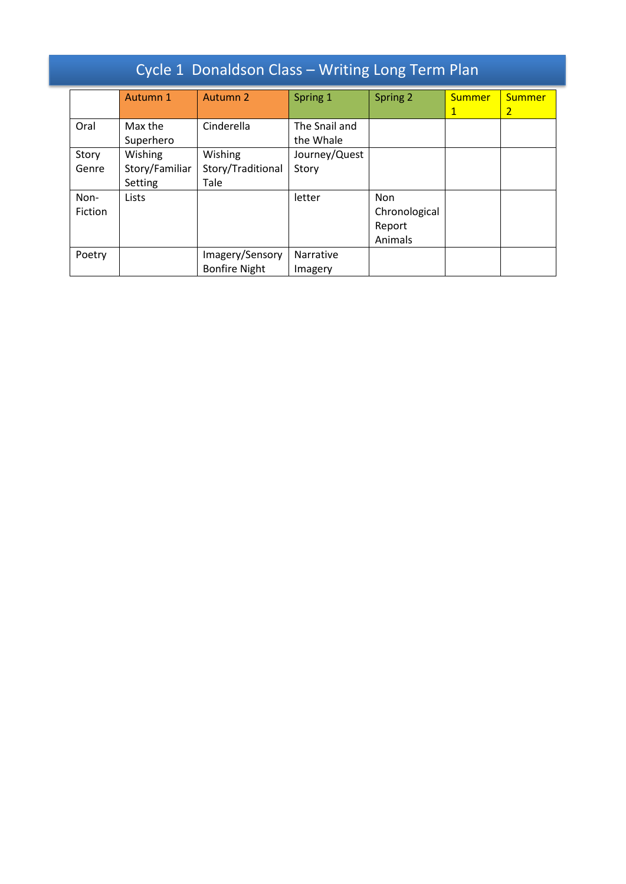| Cycle 1 Donaldson Class - Writing Long Term Plan |                                      |                                         |                            |                                           |                               |                                 |
|--------------------------------------------------|--------------------------------------|-----------------------------------------|----------------------------|-------------------------------------------|-------------------------------|---------------------------------|
|                                                  | Autumn 1                             | Autumn 2                                | Spring 1                   | Spring 2                                  | <b>Summer</b><br>$\mathbf{1}$ | <b>Summer</b><br>$\overline{2}$ |
| Oral                                             | Max the<br>Superhero                 | Cinderella                              | The Snail and<br>the Whale |                                           |                               |                                 |
| Story<br>Genre                                   | Wishing<br>Story/Familiar<br>Setting | Wishing<br>Story/Traditional<br>Tale    | Journey/Quest<br>Story     |                                           |                               |                                 |
| Non-<br>Fiction                                  | Lists                                |                                         | letter                     | Non<br>Chronological<br>Report<br>Animals |                               |                                 |
| Poetry                                           |                                      | Imagery/Sensory<br><b>Bonfire Night</b> | Narrative<br>Imagery       |                                           |                               |                                 |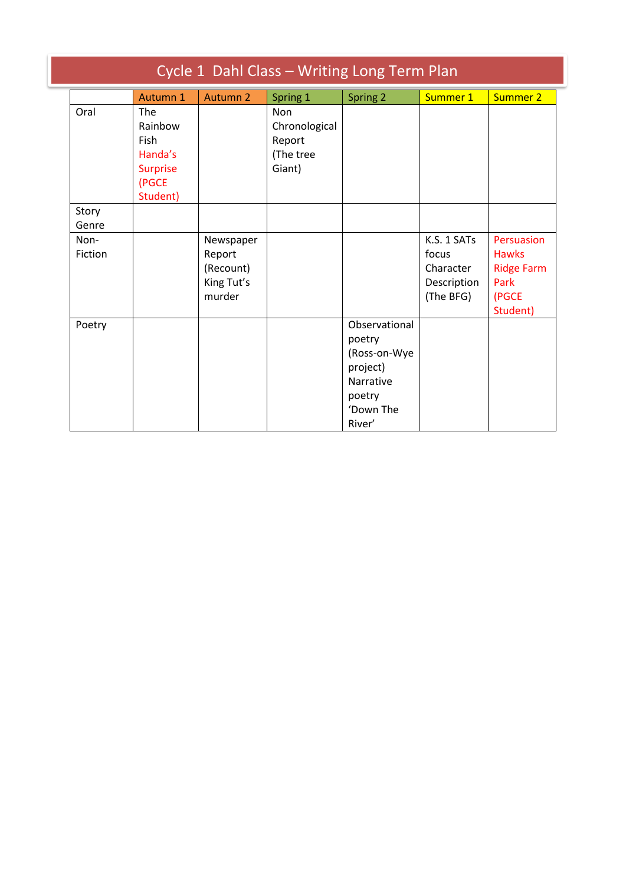| Cycle 1 Dahl Class - Writing Long Term Plan |                                                                           |                                                          |                                                              |                                                                                                          |                                                               |                                                                              |
|---------------------------------------------|---------------------------------------------------------------------------|----------------------------------------------------------|--------------------------------------------------------------|----------------------------------------------------------------------------------------------------------|---------------------------------------------------------------|------------------------------------------------------------------------------|
|                                             | Autumn 1                                                                  | Autumn 2                                                 | Spring 1                                                     | Spring 2                                                                                                 | Summer 1                                                      | <b>Summer 2</b>                                                              |
| Oral                                        | The<br>Rainbow<br>Fish<br>Handa's<br><b>Surprise</b><br>(PGCE<br>Student) |                                                          | <b>Non</b><br>Chronological<br>Report<br>(The tree<br>Giant) |                                                                                                          |                                                               |                                                                              |
| Story<br>Genre                              |                                                                           |                                                          |                                                              |                                                                                                          |                                                               |                                                                              |
| Non-<br>Fiction                             |                                                                           | Newspaper<br>Report<br>(Recount)<br>King Tut's<br>murder |                                                              |                                                                                                          | K.S. 1 SATs<br>focus<br>Character<br>Description<br>(The BFG) | Persuasion<br><b>Hawks</b><br><b>Ridge Farm</b><br>Park<br>(PGCE<br>Student) |
| Poetry                                      |                                                                           |                                                          |                                                              | Observational<br>poetry<br>(Ross-on-Wye<br>project)<br><b>Narrative</b><br>poetry<br>'Down The<br>River' |                                                               |                                                                              |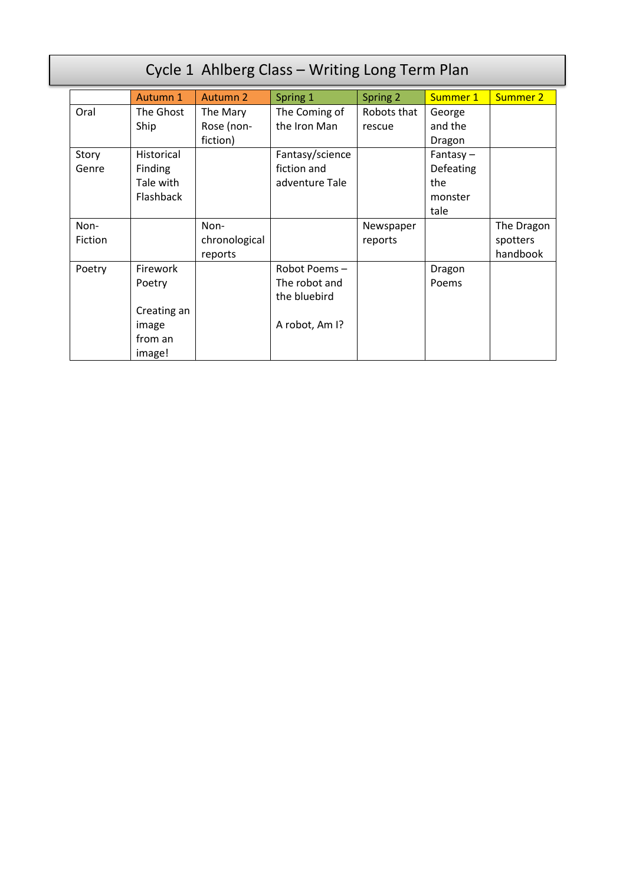| Cycle 1 Ahlberg Class - Writing Long Term Plan |             |                 |                 |             |             |                 |
|------------------------------------------------|-------------|-----------------|-----------------|-------------|-------------|-----------------|
|                                                | Autumn 1    | <b>Autumn 2</b> | Spring 1        | Spring 2    | Summer 1    | <b>Summer 2</b> |
| Oral                                           | The Ghost   | The Mary        | The Coming of   | Robots that | George      |                 |
|                                                | Ship        | Rose (non-      | the Iron Man    | rescue      | and the     |                 |
|                                                |             | fiction)        |                 |             | Dragon      |                 |
| Story                                          | Historical  |                 | Fantasy/science |             | Fantasy $-$ |                 |
| Genre                                          | Finding     |                 | fiction and     |             | Defeating   |                 |
|                                                | Tale with   |                 | adventure Tale  |             | the         |                 |
|                                                | Flashback   |                 |                 |             | monster     |                 |
|                                                |             |                 |                 |             | tale        |                 |
| Non-                                           |             | Non-            |                 | Newspaper   |             | The Dragon      |
| <b>Fiction</b>                                 |             | chronological   |                 | reports     |             | spotters        |
|                                                |             | reports         |                 |             |             | handbook        |
| Poetry                                         | Firework    |                 | Robot Poems-    |             | Dragon      |                 |
|                                                | Poetry      |                 | The robot and   |             | Poems       |                 |
|                                                |             |                 | the bluebird    |             |             |                 |
|                                                | Creating an |                 |                 |             |             |                 |
|                                                | image       |                 | A robot, Am I?  |             |             |                 |
|                                                | from an     |                 |                 |             |             |                 |
|                                                | image!      |                 |                 |             |             |                 |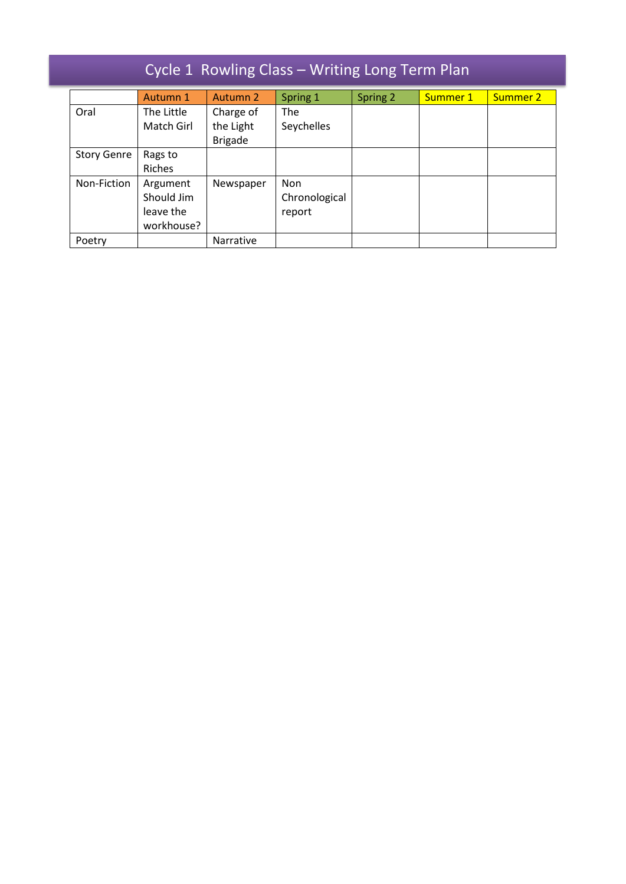|  |  | Cycle 1 Rowling Class - Writing Long Term Plan |  |
|--|--|------------------------------------------------|--|
|--|--|------------------------------------------------|--|

|                    | Autumn 1   | Autumn 2       | Spring 1      | Spring 2 | Summer 1 | Summer 2 |
|--------------------|------------|----------------|---------------|----------|----------|----------|
| Oral               | The Little | Charge of      | The           |          |          |          |
|                    | Match Girl | the Light      | Seychelles    |          |          |          |
|                    |            | <b>Brigade</b> |               |          |          |          |
| <b>Story Genre</b> | Rags to    |                |               |          |          |          |
|                    | Riches     |                |               |          |          |          |
| Non-Fiction        | Argument   | Newspaper      | <b>Non</b>    |          |          |          |
|                    | Should Jim |                | Chronological |          |          |          |
|                    | leave the  |                | report        |          |          |          |
|                    | workhouse? |                |               |          |          |          |
| Poetry             |            | Narrative      |               |          |          |          |